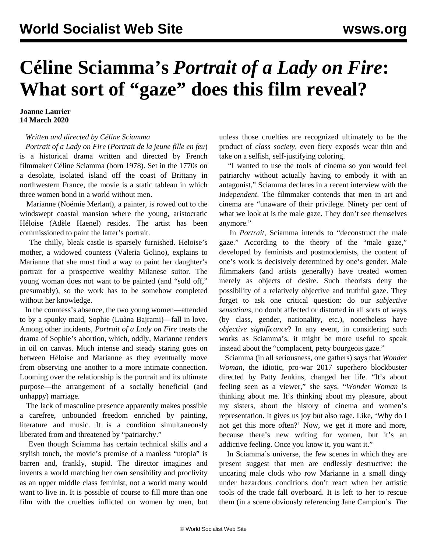## **Céline Sciamma's** *Portrait of a Lady on Fire***: What sort of "gaze" does this film reveal?**

## **Joanne Laurier 14 March 2020**

## *Written and directed by Céline Sciamma*

 *Portrait of a Lady on Fire* (*Portrait de la jeune fille en feu*) is a historical drama written and directed by French filmmaker Céline Sciamma (born 1978). Set in the 1770s on a desolate, isolated island off the coast of Brittany in northwestern France, the movie is a static tableau in which three women bond in a world without men.

 Marianne (Noémie Merlant), a painter, is rowed out to the windswept coastal mansion where the young, aristocratic Héloise (Adèle Haenel) resides. The artist has been commissioned to paint the latter's portrait.

 The chilly, bleak castle is sparsely furnished. Heloise's mother, a widowed countess (Valeria Golino), explains to Marianne that she must find a way to paint her daughter's portrait for a prospective wealthy Milanese suitor. The young woman does not want to be painted (and "sold off," presumably), so the work has to be somehow completed without her knowledge.

 In the countess's absence, the two young women—attended to by a spunky maid, Sophie (Luàna Bajrami)—fall in love. Among other incidents, *Portrait of a Lady on Fire* treats the drama of Sophie's abortion, which, oddly, Marianne renders in oil on canvas. Much intense and steady staring goes on between Héloise and Marianne as they eventually move from observing one another to a more intimate connection. Looming over the relationship is the portrait and its ultimate purpose—the arrangement of a socially beneficial (and unhappy) marriage.

 The lack of masculine presence apparently makes possible a carefree, unbounded freedom enriched by painting, literature and music. It is a condition simultaneously liberated from and threatened by "patriarchy."

 Even though Sciamma has certain technical skills and a stylish touch, the movie's premise of a manless "utopia" is barren and, frankly, stupid. The director imagines and invents a world matching her own sensibility and proclivity as an upper middle class feminist, not a world many would want to live in. It is possible of course to fill more than one film with the cruelties inflicted on women by men, but

unless those cruelties are recognized ultimately to be the product of *class society*, even fiery exposés wear thin and take on a selfish, self-justifying coloring.

 "I wanted to use the tools of cinema so you would feel patriarchy without actually having to embody it with an antagonist," Sciamma declares in a recent interview with the *Independent*. The filmmaker contends that men in art and cinema are "unaware of their privilege. Ninety per cent of what we look at is the male gaze. They don't see themselves anymore."

 In *Portrait,* Sciamma intends to "deconstruct the male gaze." According to the theory of the "male gaze," developed by feminists and postmodernists, the content of one's work is decisively determined by one's gender. Male filmmakers (and artists generally) have treated women merely as objects of desire. Such theorists deny the possibility of a relatively objective and truthful gaze. They forget to ask one critical question: do our *subjective sensations*, no doubt affected or distorted in all sorts of ways (by class, gender, nationality, etc.), nonetheless have *objective significance*? In any event, in considering such works as Sciamma's, it might be more useful to speak instead about the "complacent, petty bourgeois gaze."

 Sciamma (in all seriousness, one gathers) says that *Wonder Woman*, the idiotic, pro-war 2017 superhero blockbuster directed by Patty Jenkins, changed her life. "It's about feeling seen as a viewer," she says. "*Wonder Woman* is thinking about me. It's thinking about my pleasure, about my sisters, about the history of cinema and women's representation. It gives us joy but also rage. Like, 'Why do I not get this more often?' Now, we get it more and more, because there's new writing for women, but it's an addictive feeling. Once you know it, you want it."

 In Sciamma's universe, the few scenes in which they are present suggest that men are endlessly destructive: the uncaring male clods who row Marianne in a small dingy under hazardous conditions don't react when her artistic tools of the trade fall overboard. It is left to her to rescue them (in a scene obviously referencing Jane Campion's *[The](/en/articles/1994/01/pian-j17.html)*